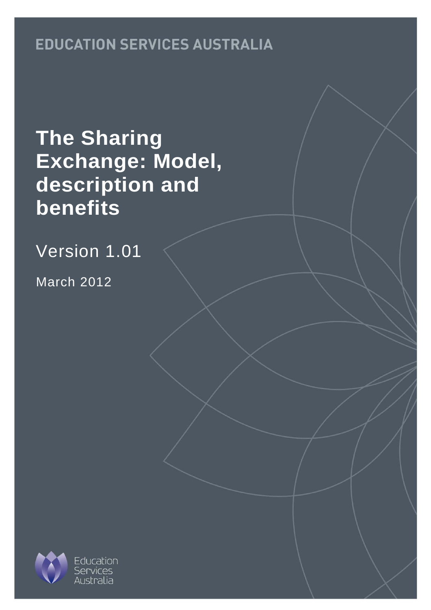# **EDUCATION SERVICES AUSTRALIA**

# **The Sharing Exchange: Model, description and benefits**

Version 1.01

March 2012

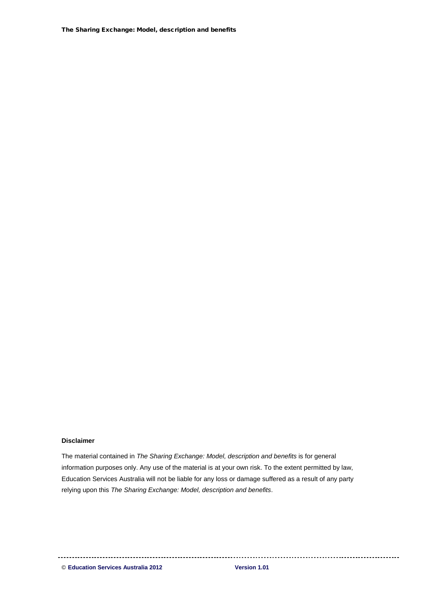The Sharing Exchange: Model, description and benefits

#### **Disclaimer**

The material contained in *The Sharing Exchange: Model, description and benefits* is for general information purposes only. Any use of the material is at your own risk. To the extent permitted by law, Education Services Australia will not be liable for any loss or damage suffered as a result of any party relying upon this *The Sharing Exchange: Model, description and benefits*.

© **Education Services Australia 2012 Version 1.01**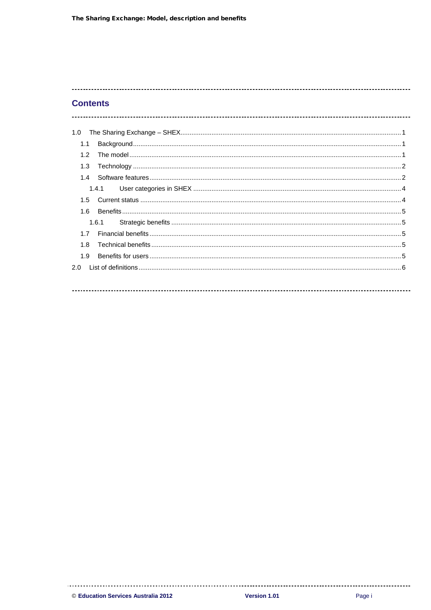## **Contents**

| 1.0              |  |
|------------------|--|
| 1.1              |  |
| 1.2 <sub>1</sub> |  |
| 1.3              |  |
| 1.4              |  |
| 1.4.1            |  |
| $1.5 -$          |  |
| 1.6              |  |
| 1.6.1            |  |
| 17               |  |
| 1.8              |  |
| 1.9              |  |
| 2.0              |  |
|                  |  |
|                  |  |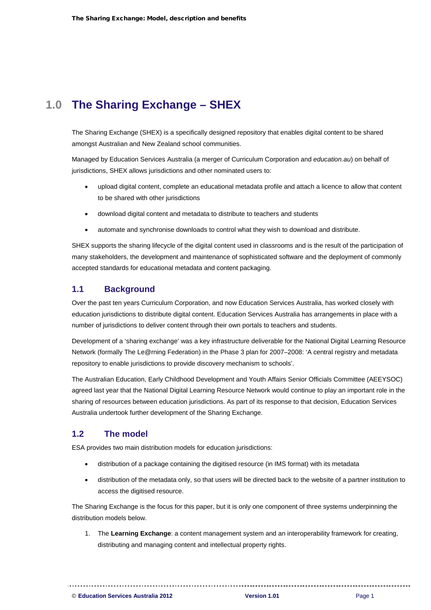# <span id="page-3-0"></span>**1.0 The Sharing Exchange – SHEX**

The Sharing Exchange (SHEX) is a specifically designed repository that enables digital content to be shared amongst Australian and New Zealand school communities.

Managed by Education Services Australia (a merger of Curriculum Corporation and *education.au*) on behalf of jurisdictions, SHEX allows jurisdictions and other nominated users to:

- upload digital content, complete an educational metadata profile and attach a licence to allow that content to be shared with other jurisdictions
- download digital content and metadata to distribute to teachers and students
- automate and synchronise downloads to control what they wish to download and distribute.

SHEX supports the sharing lifecycle of the digital content used in classrooms and is the result of the participation of many stakeholders, the development and maintenance of sophisticated software and the deployment of commonly accepted standards for educational metadata and content packaging.

# <span id="page-3-1"></span>**1.1 Background**

Over the past ten years Curriculum Corporation, and now Education Services Australia, has worked closely with education jurisdictions to distribute digital content. Education Services Australia has arrangements in place with a number of jurisdictions to deliver content through their own portals to teachers and students.

Development of a 'sharing exchange' was a key infrastructure deliverable for the National Digital Learning Resource Network (formally The Le@rning Federation) in the Phase 3 plan for 2007–2008: 'A central registry and metadata repository to enable jurisdictions to provide discovery mechanism to schools'.

The Australian Education, Early Childhood Development and Youth Affairs Senior Officials Committee (AEEYSOC) agreed last year that the National Digital Learning Resource Network would continue to play an important role in the sharing of resources between education jurisdictions. As part of its response to that decision, Education Services Australia undertook further development of the Sharing Exchange.

# <span id="page-3-2"></span>**1.2 The model**

ESA provides two main distribution models for education jurisdictions:

- distribution of a package containing the digitised resource (in IMS format) with its metadata
- distribution of the metadata only, so that users will be directed back to the website of a partner institution to access the digitised resource.

The Sharing Exchange is the focus for this paper, but it is only one component of three systems underpinning the distribution models below.

1. The **Learning Exchange**: a content management system and an interoperability framework for creating, distributing and managing content and intellectual property rights.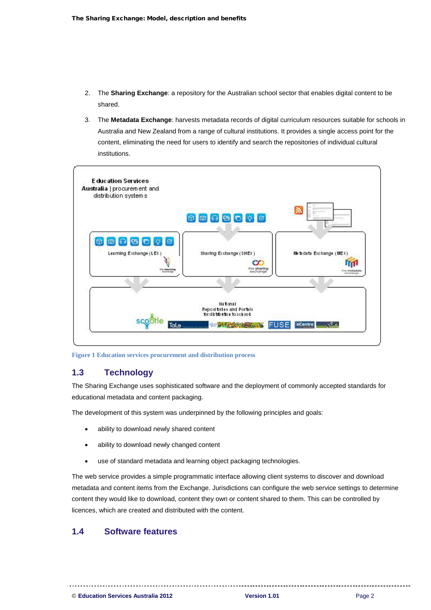- 2. The **Sharing Exchange**: a repository for the Australian school sector that enables digital content to be shared.
- 3. The **Metadata Exchange**: harvests metadata records of digital curriculum resources suitable for schools in Australia and New Zealand from a range of cultural institutions. It provides a single access point for the content, eliminating the need for users to identify and search the repositories of individual cultural institutions.



**Figure 1 Education services procurement and distribution process**

## <span id="page-4-0"></span>**1.3 Technology**

The Sharing Exchange uses sophisticated software and the deployment of commonly accepted standards for educational metadata and content packaging.

The development of this system was underpinned by the following principles and goals:

- ability to download newly shared content
- ability to download newly changed content

use of standard metadata and learning object packaging technologies.

The web service provides a simple programmatic interface allowing client systems to discover and download metadata and content items from the Exchange. Jurisdictions can configure the web service settings to determine content they would like to download, content they own or content shared to them. This can be controlled by licences, which are created and distributed with the content.

# <span id="page-4-1"></span>**1.4 Software features**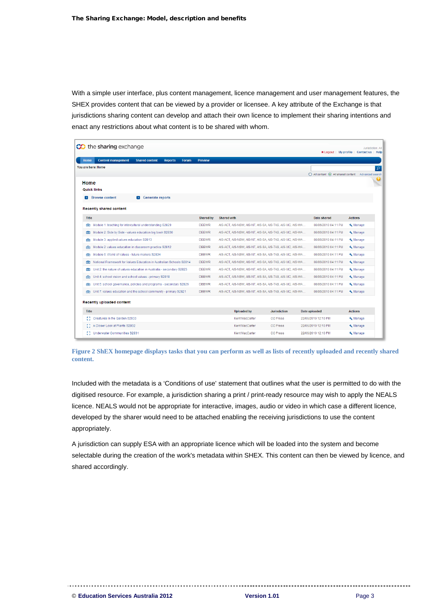With a simple user interface, plus content management, licence management and user management features, the SHEX provides content that can be viewed by a provider or licensee. A key attribute of the Exchange is that jurisdictions sharing content can develop and attach their own licence to implement their sharing intentions and enact any restrictions about what content is to be shared with whom.

| <b>CO</b> the sharing exchange                                                                      |                  |                                                            | <b>*</b> Logout   My profile                       | Jurisdiction: All<br><b>Contact us</b><br>Help |
|-----------------------------------------------------------------------------------------------------|------------------|------------------------------------------------------------|----------------------------------------------------|------------------------------------------------|
| <b>Content management</b><br><b>Home</b><br><b>Shared content</b><br><b>Reports</b><br><b>Forum</b> | <b>Preview</b>   |                                                            |                                                    |                                                |
| You are here: Home                                                                                  |                  |                                                            |                                                    | $\mathsf{Q}$                                   |
|                                                                                                     |                  |                                                            | ◯ All content ⓒ All shared content Advanced search |                                                |
| Home                                                                                                |                  |                                                            |                                                    |                                                |
| <b>Quick links</b>                                                                                  |                  |                                                            |                                                    |                                                |
| <b>Browse content</b><br>S Generate reports<br>Ы                                                    |                  |                                                            |                                                    |                                                |
|                                                                                                     |                  |                                                            |                                                    |                                                |
| <b>Recently shared content</b>                                                                      |                  |                                                            |                                                    |                                                |
| <b>Title</b>                                                                                        | <b>Shared by</b> | <b>Shared with</b>                                         | <b>Date shared</b>                                 | <b>Actions</b>                                 |
| Module 1: teaching for intercultural understanding S2829                                            | <b>DEEWR</b>     | AIS-ACT, AIS-NSW, AIS-NT, AIS-SA, AIS-TAS, AIS-VIC, AIS-WA | 08/06/2010 04:11 PM                                | Manage                                         |
| Module 2: Side by Side - values education big book S2830<br>夁                                       | <b>DEEWR</b>     | AIS-ACT, AIS-NSW, AIS-NT, AIS-SA, AIS-TAS, AIS-VIC, AIS-WA | 08/06/2010 04:11 PM                                | Manage                                         |
| Module 3: applied values education S2813<br>卣                                                       | <b>DEEWR</b>     | AIS-ACT, AIS-NSW, AIS-NT, AIS-SA, AIS-TAS, AIS-VIC, AIS-WA | 08/06/2010 04:11 PM                                | Manage                                         |
| Module 2: values education in classroom practice S2812<br>e                                         | <b>DEEWR</b>     | AIS-ACT, AIS-NSW, AIS-NT, AIS-SA, AIS-TAS, AIS-VIC, AIS-WA | 08/06/2010 04:11 PM                                | Manage                                         |
| Module 6: World of Values - future makers S2834<br>e                                                | <b>DEEWR</b>     | AIS-ACT, AIS-NSW, AIS-NT, AIS-SA, AIS-TAS, AIS-VIC, AIS-WA | 08/06/2010 04:11 PM                                | Manage                                         |
| National Framework for Values Education in Australian Schools S2814<br>鱼                            | <b>DEEWR</b>     | AIS-ACT, AIS-NSW, AIS-NT, AIS-SA, AIS-TAS, AIS-VIC, AIS-WA | 08/06/2010 04:11 PM                                | Manage                                         |
| Unit 2: the nature of values education in Australia - secondary S2823<br>e                          | <b>DEEWR</b>     | AIS-ACT, AIS-NSW, AIS-NT, AIS-SA, AIS-TAS, AIS-VIC, AIS-WA | 08/06/2010 04:11 PM                                | Manage                                         |
| Unit 4: school vision and school values - primary S2818                                             | <b>DEEWR</b>     | AIS-ACT, AIS-NSW, AIS-NT, AIS-SA, AIS-TAS, AIS-VIC, AIS-WA | 08/06/2010 04:11 PM                                | Manage                                         |
| Unit 5: school governance, policies and programs - secondary S2826<br>e                             | <b>DEEWR</b>     | AIS-ACT, AIS-NSW, AIS-NT, AIS-SA, AIS-TAS, AIS-VIC, AIS-WA | 08/06/2010 04:11 PM                                | Manage                                         |
| FEE Unit 7: values education and the school community - primary S2821                               | <b>DEEWR</b>     | AIS-ACT, AIS-NSW, AIS-NT, AIS-SA, AIS-TAS, AIS-VIC, AIS-WA | 08/06/2010 04:11 PM                                | Manage                                         |
| <b>Recently uploaded content</b>                                                                    |                  |                                                            |                                                    |                                                |
| <b>Title</b>                                                                                        |                  | <b>Uploaded by</b><br><b>Jurisdiction</b>                  | Date uploaded                                      | <b>Actions</b>                                 |
| Creatures In the Garden S2933                                                                       |                  | <b>Kent MacCarter</b><br><b>CC Press</b>                   | 22/06/2010 12:10 PM                                | Manage                                         |
| Closer Look at Plants S2932                                                                         |                  | Kent MacCarter<br><b>CC Press</b>                          | 22/06/2010 12:10 PM                                | Manage                                         |
| Underwater Communities S2931                                                                        |                  | Kent MacCarter<br><b>CC Press</b>                          | 22/06/2010 12:10 PM                                | Manage                                         |

**Figure 2 ShEX homepage displays tasks that you can perform as well as lists of recently uploaded and recently shared content.**

Included with the metadata is a 'Conditions of use' statement that outlines what the user is permitted to do with the digitised resource. For example, a jurisdiction sharing a print / print-ready resource may wish to apply the NEALS licence. NEALS would not be appropriate for interactive, images, audio or video in which case a different licence, developed by the sharer would need to be attached enabling the receiving jurisdictions to use the content appropriately.

A jurisdiction can supply ESA with an appropriate licence which will be loaded into the system and become selectable during the creation of the work's metadata within SHEX. This content can then be viewed by licence, and shared accordingly.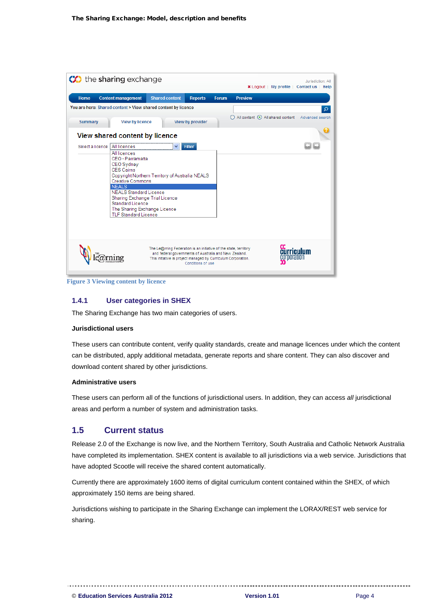

**Figure 3 Viewing content by licence**

#### <span id="page-6-0"></span>**1.4.1 User categories in SHEX**

The Sharing Exchange has two main categories of users.

#### **Jurisdictional users**

These users can contribute content, verify quality standards, create and manage licences under which the content can be distributed, apply additional metadata, generate reports and share content. They can also discover and download content shared by other jurisdictions.

#### **Administrative users**

These users can perform all of the functions of jurisdictional users. In addition, they can access *all* jurisdictional areas and perform a number of system and administration tasks.

# <span id="page-6-1"></span>**1.5 Current status**

Release 2.0 of the Exchange is now live, and the Northern Territory, South Australia and Catholic Network Australia have completed its implementation. SHEX content is available to all jurisdictions via a web service. Jurisdictions that have adopted Scootle will receive the shared content automatically.

Currently there are approximately 1600 items of digital curriculum content contained within the SHEX, of which approximately 150 items are being shared.

Jurisdictions wishing to participate in the Sharing Exchange can implement the LORAX/REST web service for sharing.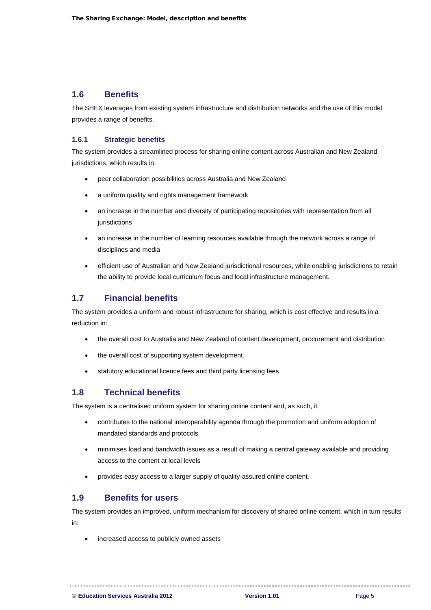## <span id="page-7-0"></span>**1.6 Benefits**

The SHEX leverages from existing system infrastructure and distribution networks and the use of this model provides a range of benefits.

#### <span id="page-7-1"></span>**1.6.1 Strategic benefits**

The system provides a streamlined process for sharing online content across Australian and New Zealand jurisdictions, which results in:

- peer collaboration possibilities across Australia and New Zealand
- a uniform quality and rights management framework
- an increase in the number and diversity of participating repositories with representation from all jurisdictions
- an increase in the number of learning resources available through the network across a range of disciplines and media
- efficient use of Australian and New Zealand jurisdictional resources, while enabling jurisdictions to retain the ability to provide local curriculum focus and local infrastructure management.

# <span id="page-7-2"></span>**1.7 Financial benefits**

The system provides a uniform and robust infrastructure for sharing, which is cost effective and results in a reduction in:

- the overall cost to Australia and New Zealand of content development, procurement and distribution
- the overall cost of supporting system development
- statutory educational licence fees and third party licensing fees.

# <span id="page-7-3"></span>**1.8 Technical benefits**

The system is a centralised uniform system for sharing online content and, as such, it:

- contributes to the national interoperability agenda through the promotion and uniform adoption of mandated standards and protocols
- minimises load and bandwidth issues as a result of making a central gateway available and providing access to the content at local levels
- provides easy access to a larger supply of quality-assured online content.

### <span id="page-7-4"></span>**1.9 Benefits for users**

The system provides an improved, uniform mechanism for discovery of shared online content, which in turn results in:

increased access to publicly owned assets

© **Education Services Australia 2012 Version 1.01** Page 5